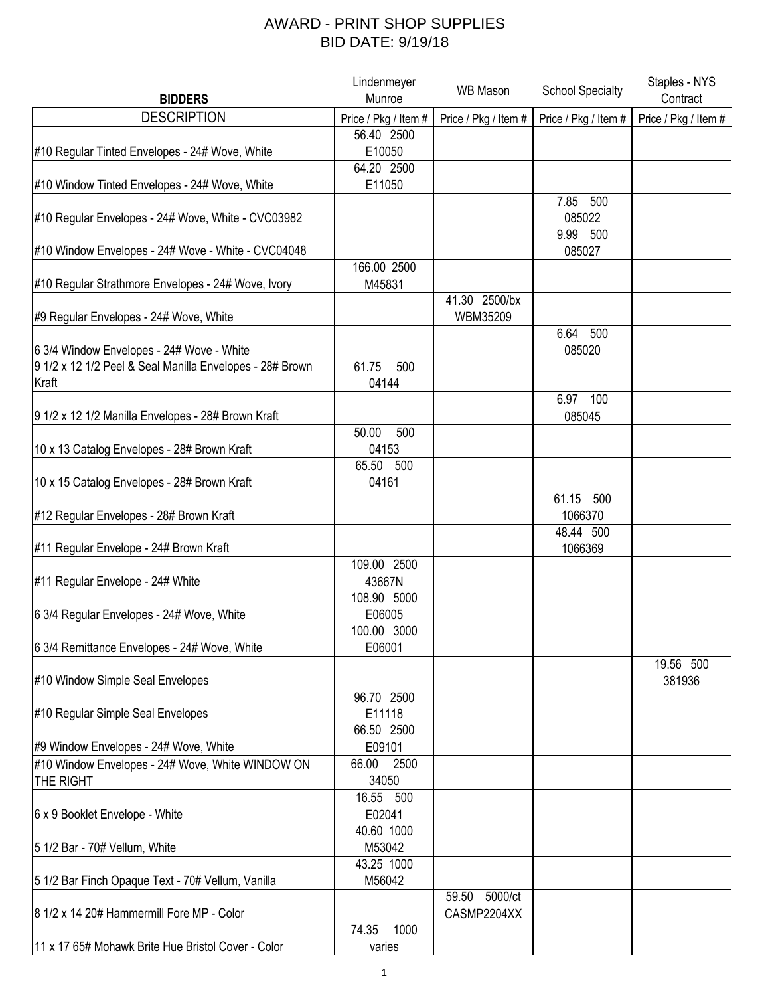## AWARD - PRINT SHOP SUPPLIES BID DATE: 9/19/18

|                                                          | Lindenmeyer          | <b>WB Mason</b>      | <b>School Specialty</b> | Staples - NYS        |
|----------------------------------------------------------|----------------------|----------------------|-------------------------|----------------------|
| <b>BIDDERS</b>                                           | Munroe               |                      |                         | Contract             |
| <b>DESCRIPTION</b>                                       | Price / Pkg / Item # | Price / Pkg / Item # | Price / Pkg / Item #    | Price / Pkg / Item # |
|                                                          | 56.40 2500           |                      |                         |                      |
| #10 Regular Tinted Envelopes - 24# Wove, White           | E10050               |                      |                         |                      |
|                                                          | 64.20 2500           |                      |                         |                      |
| #10 Window Tinted Envelopes - 24# Wove, White            | E11050               |                      |                         |                      |
|                                                          |                      |                      | 7.85 500                |                      |
| #10 Regular Envelopes - 24# Wove, White - CVC03982       |                      |                      | 085022                  |                      |
|                                                          |                      |                      | 9.99 500                |                      |
| #10 Window Envelopes - 24# Wove - White - CVC04048       |                      |                      | 085027                  |                      |
|                                                          | 166.00 2500          |                      |                         |                      |
| #10 Regular Strathmore Envelopes - 24# Wove, Ivory       | M45831               |                      |                         |                      |
|                                                          |                      | 41.30 2500/bx        |                         |                      |
| #9 Regular Envelopes - 24# Wove, White                   |                      | WBM35209             |                         |                      |
|                                                          |                      |                      | 6.64 500                |                      |
| 6 3/4 Window Envelopes - 24# Wove - White                |                      |                      | 085020                  |                      |
| 9 1/2 x 12 1/2 Peel & Seal Manilla Envelopes - 28# Brown | 500<br>61.75         |                      |                         |                      |
| Kraft                                                    | 04144                |                      |                         |                      |
|                                                          |                      |                      | 6.97 100                |                      |
| 9 1/2 x 12 1/2 Manilla Envelopes - 28# Brown Kraft       |                      |                      | 085045                  |                      |
|                                                          | 500<br>50.00         |                      |                         |                      |
| 10 x 13 Catalog Envelopes - 28# Brown Kraft              | 04153                |                      |                         |                      |
|                                                          | 65.50 500            |                      |                         |                      |
| 10 x 15 Catalog Envelopes - 28# Brown Kraft              | 04161                |                      |                         |                      |
|                                                          |                      |                      | 61.15 500               |                      |
| #12 Regular Envelopes - 28# Brown Kraft                  |                      |                      | 1066370                 |                      |
|                                                          |                      |                      | 48.44 500               |                      |
| #11 Regular Envelope - 24# Brown Kraft                   |                      |                      | 1066369                 |                      |
|                                                          | 109.00 2500          |                      |                         |                      |
| #11 Regular Envelope - 24# White                         | 43667N               |                      |                         |                      |
|                                                          | 108.90 5000          |                      |                         |                      |
| 6 3/4 Regular Envelopes - 24# Wove, White                | E06005               |                      |                         |                      |
|                                                          | 100.00 3000          |                      |                         |                      |
| 6 3/4 Remittance Envelopes - 24# Wove, White             | E06001               |                      |                         |                      |
|                                                          |                      |                      |                         | 19.56 500            |
| #10 Window Simple Seal Envelopes                         |                      |                      |                         | 381936               |
|                                                          | 96.70 2500           |                      |                         |                      |
| #10 Regular Simple Seal Envelopes                        | E11118               |                      |                         |                      |
|                                                          | 66.50 2500           |                      |                         |                      |
| #9 Window Envelopes - 24# Wove, White                    | E09101               |                      |                         |                      |
| #10 Window Envelopes - 24# Wove, White WINDOW ON         | 66.00<br>2500        |                      |                         |                      |
| THE RIGHT                                                | 34050                |                      |                         |                      |
|                                                          | 16.55 500            |                      |                         |                      |
| 6 x 9 Booklet Envelope - White                           | E02041               |                      |                         |                      |
|                                                          | 40.60 1000           |                      |                         |                      |
| 5 1/2 Bar - 70# Vellum, White                            | M53042               |                      |                         |                      |
|                                                          | 43.25 1000           |                      |                         |                      |
| 5 1/2 Bar Finch Opaque Text - 70# Vellum, Vanilla        | M56042               |                      |                         |                      |
|                                                          |                      | 59.50 5000/ct        |                         |                      |
| 8 1/2 x 14 20# Hammermill Fore MP - Color                |                      | CASMP2204XX          |                         |                      |
|                                                          | 74.35<br>1000        |                      |                         |                      |
| 11 x 17 65# Mohawk Brite Hue Bristol Cover - Color       | varies               |                      |                         |                      |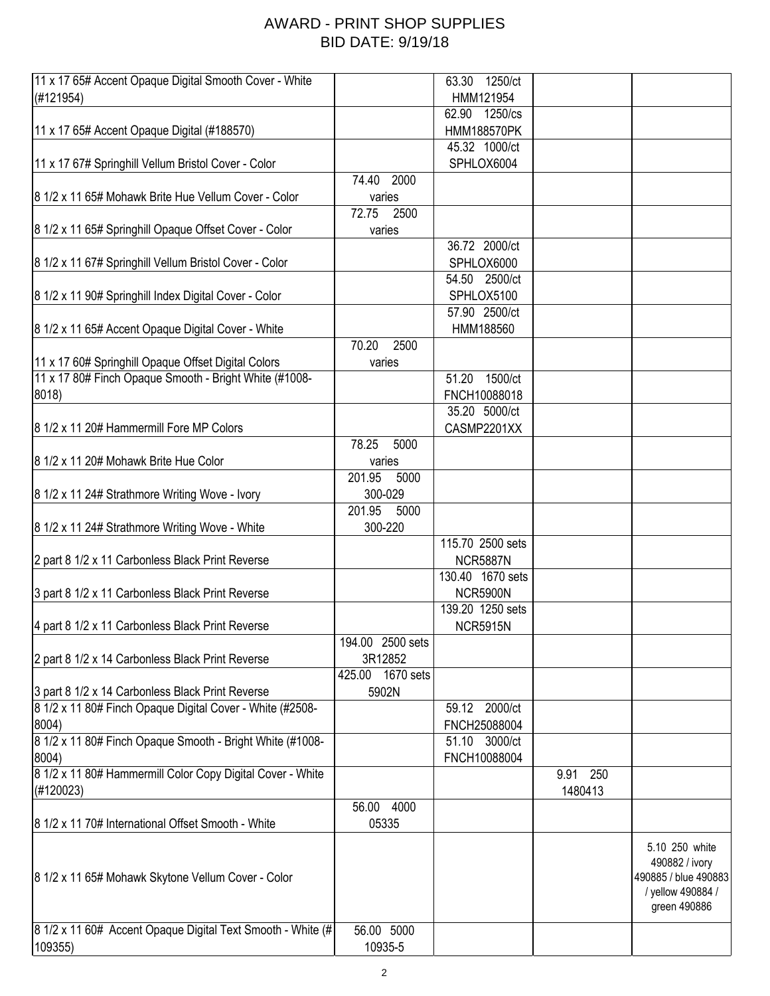## AWARD - PRINT SHOP SUPPLIES BID DATE: 9/19/18

| 11 x 17 65# Accent Opaque Digital Smooth Cover - White      |                     | 63.30<br>1250/ct   |          |                                                                                               |
|-------------------------------------------------------------|---------------------|--------------------|----------|-----------------------------------------------------------------------------------------------|
| (H121954)                                                   |                     | HMM121954          |          |                                                                                               |
|                                                             |                     | 62.90 1250/cs      |          |                                                                                               |
| 11 x 17 65# Accent Opaque Digital (#188570)                 |                     | <b>HMM188570PK</b> |          |                                                                                               |
|                                                             |                     | 45.32 1000/ct      |          |                                                                                               |
| 11 x 17 67# Springhill Vellum Bristol Cover - Color         |                     | SPHLOX6004         |          |                                                                                               |
|                                                             |                     |                    |          |                                                                                               |
|                                                             | 74.40<br>2000       |                    |          |                                                                                               |
| 8 1/2 x 11 65# Mohawk Brite Hue Vellum Cover - Color        | varies              |                    |          |                                                                                               |
|                                                             | 72.75<br>2500       |                    |          |                                                                                               |
| 8 1/2 x 11 65# Springhill Opaque Offset Cover - Color       | varies              |                    |          |                                                                                               |
|                                                             |                     | 36.72 2000/ct      |          |                                                                                               |
| 8 1/2 x 11 67# Springhill Vellum Bristol Cover - Color      |                     | SPHLOX6000         |          |                                                                                               |
|                                                             |                     | 54.50 2500/ct      |          |                                                                                               |
| 8 1/2 x 11 90# Springhill Index Digital Cover - Color       |                     | SPHLOX5100         |          |                                                                                               |
|                                                             |                     | 57.90 2500/ct      |          |                                                                                               |
| 8 1/2 x 11 65# Accent Opaque Digital Cover - White          |                     | HMM188560          |          |                                                                                               |
|                                                             | 2500<br>70.20       |                    |          |                                                                                               |
|                                                             |                     |                    |          |                                                                                               |
| 11 x 17 60# Springhill Opaque Offset Digital Colors         | varies              |                    |          |                                                                                               |
| 11 x 17 80# Finch Opaque Smooth - Bright White (#1008-      |                     | 1500/ct<br>51.20   |          |                                                                                               |
| 8018)                                                       |                     | FNCH10088018       |          |                                                                                               |
|                                                             |                     | 35.20 5000/ct      |          |                                                                                               |
| 8 1/2 x 11 20# Hammermill Fore MP Colors                    |                     | CASMP2201XX        |          |                                                                                               |
|                                                             | 78.25<br>5000       |                    |          |                                                                                               |
| 8 1/2 x 11 20# Mohawk Brite Hue Color                       | varies              |                    |          |                                                                                               |
|                                                             | 201.95<br>5000      |                    |          |                                                                                               |
| 8 1/2 x 11 24# Strathmore Writing Wove - Ivory              | 300-029             |                    |          |                                                                                               |
|                                                             | 201.95<br>5000      |                    |          |                                                                                               |
|                                                             |                     |                    |          |                                                                                               |
| 8 1/2 x 11 24# Strathmore Writing Wove - White              | 300-220             |                    |          |                                                                                               |
|                                                             |                     | 115.70 2500 sets   |          |                                                                                               |
| 2 part 8 1/2 x 11 Carbonless Black Print Reverse            |                     | <b>NCR5887N</b>    |          |                                                                                               |
|                                                             |                     | 130.40 1670 sets   |          |                                                                                               |
| 3 part 8 1/2 x 11 Carbonless Black Print Reverse            |                     | <b>NCR5900N</b>    |          |                                                                                               |
|                                                             |                     | 139.20 1250 sets   |          |                                                                                               |
| 4 part 8 1/2 x 11 Carbonless Black Print Reverse            |                     | <b>NCR5915N</b>    |          |                                                                                               |
|                                                             | 194.00 2500 sets    |                    |          |                                                                                               |
| 2 part 8 1/2 x 14 Carbonless Black Print Reverse            | 3R12852             |                    |          |                                                                                               |
|                                                             | 1670 sets<br>425.00 |                    |          |                                                                                               |
| 3 part 8 1/2 x 14 Carbonless Black Print Reverse            | 5902N               |                    |          |                                                                                               |
| 8 1/2 x 11 80# Finch Opaque Digital Cover - White (#2508-   |                     | 59.12 2000/ct      |          |                                                                                               |
|                                                             |                     |                    |          |                                                                                               |
| 8004)                                                       |                     | FNCH25088004       |          |                                                                                               |
| 8 1/2 x 11 80# Finch Opaque Smooth - Bright White (#1008-   |                     | 51.10 3000/ct      |          |                                                                                               |
| 8004)                                                       |                     | FNCH10088004       |          |                                                                                               |
| 8 1/2 x 11 80# Hammermill Color Copy Digital Cover - White  |                     |                    | 9.91 250 |                                                                                               |
| (H120023)                                                   |                     |                    | 1480413  |                                                                                               |
|                                                             | 56.00 4000          |                    |          |                                                                                               |
| 8 1/2 x 11 70# International Offset Smooth - White          | 05335               |                    |          |                                                                                               |
| 8 1/2 x 11 65# Mohawk Skytone Vellum Cover - Color          |                     |                    |          | 5.10 250 white<br>490882 / ivory<br>490885 / blue 490883<br>/ yellow 490884 /<br>green 490886 |
| 8 1/2 x 11 60# Accent Opaque Digital Text Smooth - White (# | 56.00 5000          |                    |          |                                                                                               |
| 109355)                                                     | 10935-5             |                    |          |                                                                                               |